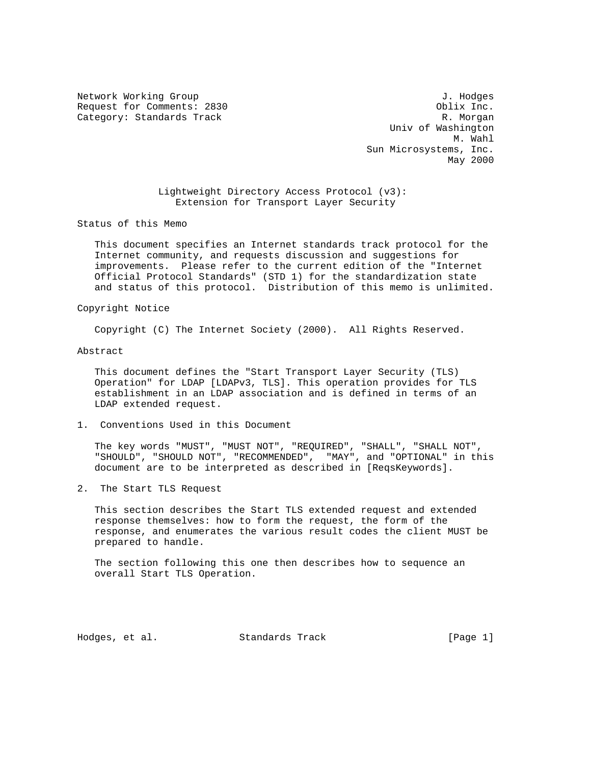Network Working Group 3. 1999 Methods and the U.S. of the U.S. of the U.S. of the U.S. of the U.S. of the U.S. of the U.S. of the U.S. of the U.S. of the U.S. of the U.S. of the U.S. of the U.S. of the U.S. of the U.S. of Request for Comments: 2830 Oblix Inc. Category: Standards Track R. Morgan R. Morgan

 Univ of Washington M. Wahl Sun Microsystems, Inc. May 2000

> Lightweight Directory Access Protocol (v3): Extension for Transport Layer Security

Status of this Memo

 This document specifies an Internet standards track protocol for the Internet community, and requests discussion and suggestions for improvements. Please refer to the current edition of the "Internet Official Protocol Standards" (STD 1) for the standardization state and status of this protocol. Distribution of this memo is unlimited.

Copyright Notice

Copyright (C) The Internet Society (2000). All Rights Reserved.

Abstract

 This document defines the "Start Transport Layer Security (TLS) Operation" for LDAP [LDAPv3, TLS]. This operation provides for TLS establishment in an LDAP association and is defined in terms of an LDAP extended request.

1. Conventions Used in this Document

 The key words "MUST", "MUST NOT", "REQUIRED", "SHALL", "SHALL NOT", "SHOULD", "SHOULD NOT", "RECOMMENDED", "MAY", and "OPTIONAL" in this document are to be interpreted as described in [ReqsKeywords].

2. The Start TLS Request

 This section describes the Start TLS extended request and extended response themselves: how to form the request, the form of the response, and enumerates the various result codes the client MUST be prepared to handle.

 The section following this one then describes how to sequence an overall Start TLS Operation.

Hodges, et al. Standards Track [Page 1]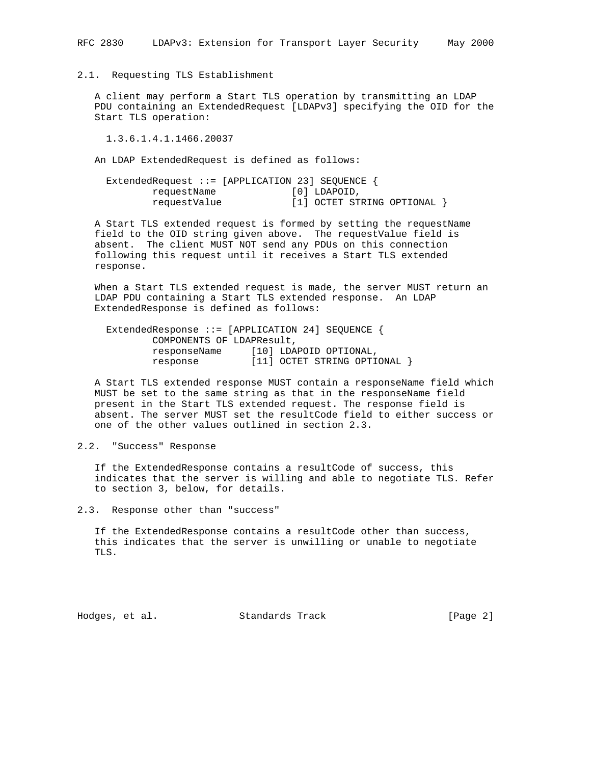# 2.1. Requesting TLS Establishment

 A client may perform a Start TLS operation by transmitting an LDAP PDU containing an ExtendedRequest [LDAPv3] specifying the OID for the Start TLS operation:

1.3.6.1.4.1.1466.20037

An LDAP ExtendedRequest is defined as follows:

| Extended Request ::= [APPLICATION 23] SEQUENCE { |  |              |                                  |  |
|--------------------------------------------------|--|--------------|----------------------------------|--|
| requestName                                      |  | [0] LDAPOID, |                                  |  |
| requestValue                                     |  |              | $[1]$ OCTET STRING OPTIONAL $\}$ |  |

 A Start TLS extended request is formed by setting the requestName field to the OID string given above. The requestValue field is absent. The client MUST NOT send any PDUs on this connection following this request until it receives a Start TLS extended response.

 When a Start TLS extended request is made, the server MUST return an LDAP PDU containing a Start TLS extended response. An LDAP ExtendedResponse is defined as follows:

 ExtendedResponse ::= [APPLICATION 24] SEQUENCE { COMPONENTS OF LDAPResult, responseName [10] LDAPOID OPTIONAL, response [11] OCTET STRING OPTIONAL }

 A Start TLS extended response MUST contain a responseName field which MUST be set to the same string as that in the responseName field present in the Start TLS extended request. The response field is absent. The server MUST set the resultCode field to either success or one of the other values outlined in section 2.3.

## 2.2. "Success" Response

 If the ExtendedResponse contains a resultCode of success, this indicates that the server is willing and able to negotiate TLS. Refer to section 3, below, for details.

2.3. Response other than "success"

 If the ExtendedResponse contains a resultCode other than success, this indicates that the server is unwilling or unable to negotiate TLS.

Hodges, et al. Standards Track [Page 2]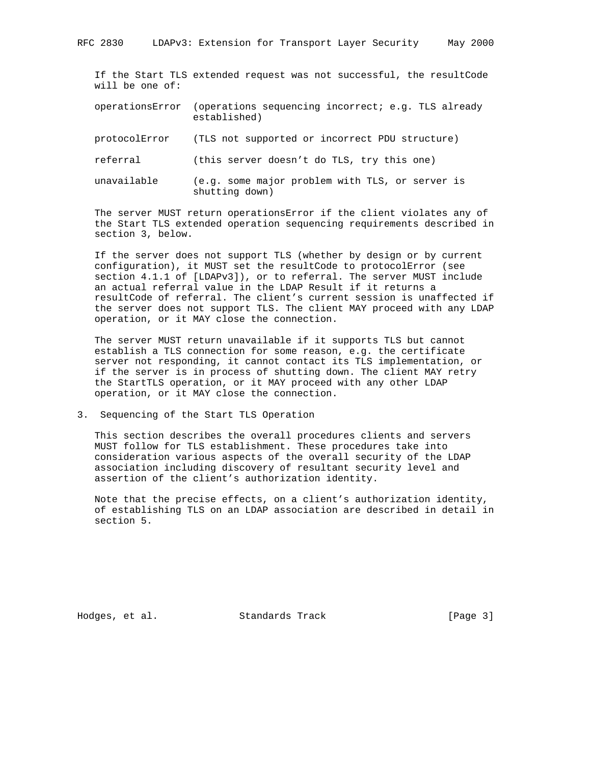If the Start TLS extended request was not successful, the resultCode will be one of:

- operationsError (operations sequencing incorrect; e.g. TLS already established)
- protocolError (TLS not supported or incorrect PDU structure)
- referral (this server doesn't do TLS, try this one)
- unavailable (e.g. some major problem with TLS, or server is shutting down)

 The server MUST return operationsError if the client violates any of the Start TLS extended operation sequencing requirements described in section 3, below.

 If the server does not support TLS (whether by design or by current configuration), it MUST set the resultCode to protocolError (see section 4.1.1 of [LDAPv3]), or to referral. The server MUST include an actual referral value in the LDAP Result if it returns a resultCode of referral. The client's current session is unaffected if the server does not support TLS. The client MAY proceed with any LDAP operation, or it MAY close the connection.

 The server MUST return unavailable if it supports TLS but cannot establish a TLS connection for some reason, e.g. the certificate server not responding, it cannot contact its TLS implementation, or if the server is in process of shutting down. The client MAY retry the StartTLS operation, or it MAY proceed with any other LDAP operation, or it MAY close the connection.

3. Sequencing of the Start TLS Operation

 This section describes the overall procedures clients and servers MUST follow for TLS establishment. These procedures take into consideration various aspects of the overall security of the LDAP association including discovery of resultant security level and assertion of the client's authorization identity.

 Note that the precise effects, on a client's authorization identity, of establishing TLS on an LDAP association are described in detail in section 5.

Hodges, et al. Standards Track [Page 3]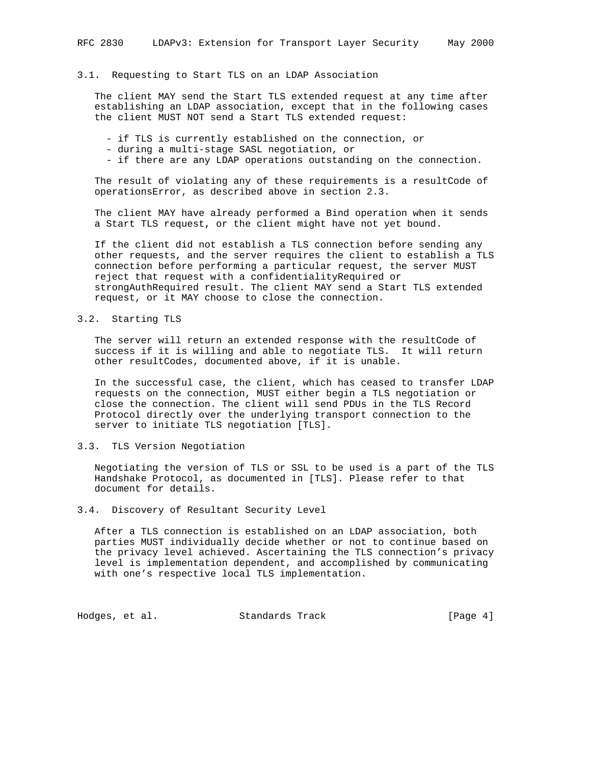#### 3.1. Requesting to Start TLS on an LDAP Association

 The client MAY send the Start TLS extended request at any time after establishing an LDAP association, except that in the following cases the client MUST NOT send a Start TLS extended request:

- if TLS is currently established on the connection, or
- during a multi-stage SASL negotiation, or
- if there are any LDAP operations outstanding on the connection.

 The result of violating any of these requirements is a resultCode of operationsError, as described above in section 2.3.

 The client MAY have already performed a Bind operation when it sends a Start TLS request, or the client might have not yet bound.

 If the client did not establish a TLS connection before sending any other requests, and the server requires the client to establish a TLS connection before performing a particular request, the server MUST reject that request with a confidentialityRequired or strongAuthRequired result. The client MAY send a Start TLS extended request, or it MAY choose to close the connection.

## 3.2. Starting TLS

 The server will return an extended response with the resultCode of success if it is willing and able to negotiate TLS. It will return other resultCodes, documented above, if it is unable.

 In the successful case, the client, which has ceased to transfer LDAP requests on the connection, MUST either begin a TLS negotiation or close the connection. The client will send PDUs in the TLS Record Protocol directly over the underlying transport connection to the server to initiate TLS negotiation [TLS].

## 3.3. TLS Version Negotiation

 Negotiating the version of TLS or SSL to be used is a part of the TLS Handshake Protocol, as documented in [TLS]. Please refer to that document for details.

### 3.4. Discovery of Resultant Security Level

 After a TLS connection is established on an LDAP association, both parties MUST individually decide whether or not to continue based on the privacy level achieved. Ascertaining the TLS connection's privacy level is implementation dependent, and accomplished by communicating with one's respective local TLS implementation.

Hodges, et al. Standards Track [Page 4]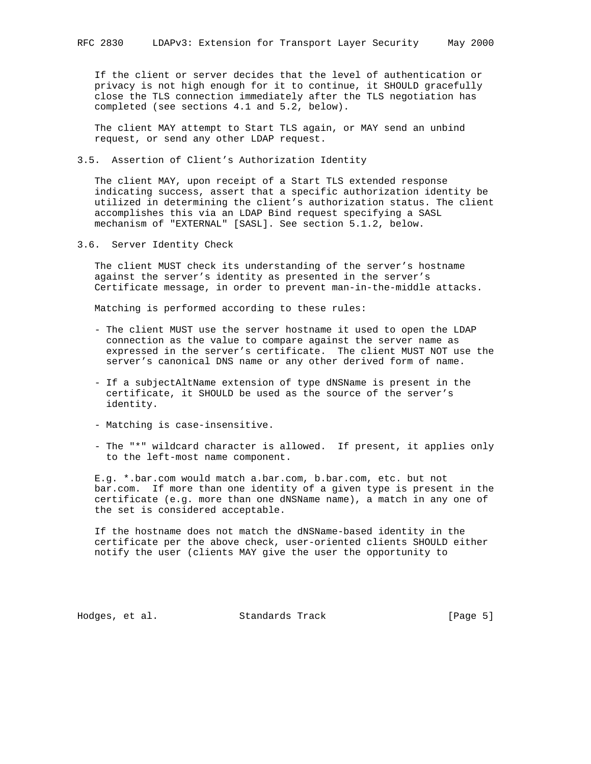If the client or server decides that the level of authentication or privacy is not high enough for it to continue, it SHOULD gracefully close the TLS connection immediately after the TLS negotiation has completed (see sections 4.1 and 5.2, below).

 The client MAY attempt to Start TLS again, or MAY send an unbind request, or send any other LDAP request.

#### 3.5. Assertion of Client's Authorization Identity

 The client MAY, upon receipt of a Start TLS extended response indicating success, assert that a specific authorization identity be utilized in determining the client's authorization status. The client accomplishes this via an LDAP Bind request specifying a SASL mechanism of "EXTERNAL" [SASL]. See section 5.1.2, below.

3.6. Server Identity Check

 The client MUST check its understanding of the server's hostname against the server's identity as presented in the server's Certificate message, in order to prevent man-in-the-middle attacks.

Matching is performed according to these rules:

- The client MUST use the server hostname it used to open the LDAP connection as the value to compare against the server name as expressed in the server's certificate. The client MUST NOT use the server's canonical DNS name or any other derived form of name.
- If a subjectAltName extension of type dNSName is present in the certificate, it SHOULD be used as the source of the server's identity.
- Matching is case-insensitive.
- The "\*" wildcard character is allowed. If present, it applies only to the left-most name component.

 E.g. \*.bar.com would match a.bar.com, b.bar.com, etc. but not bar.com. If more than one identity of a given type is present in the certificate (e.g. more than one dNSName name), a match in any one of the set is considered acceptable.

 If the hostname does not match the dNSName-based identity in the certificate per the above check, user-oriented clients SHOULD either notify the user (clients MAY give the user the opportunity to

Hodges, et al. Standards Track [Page 5]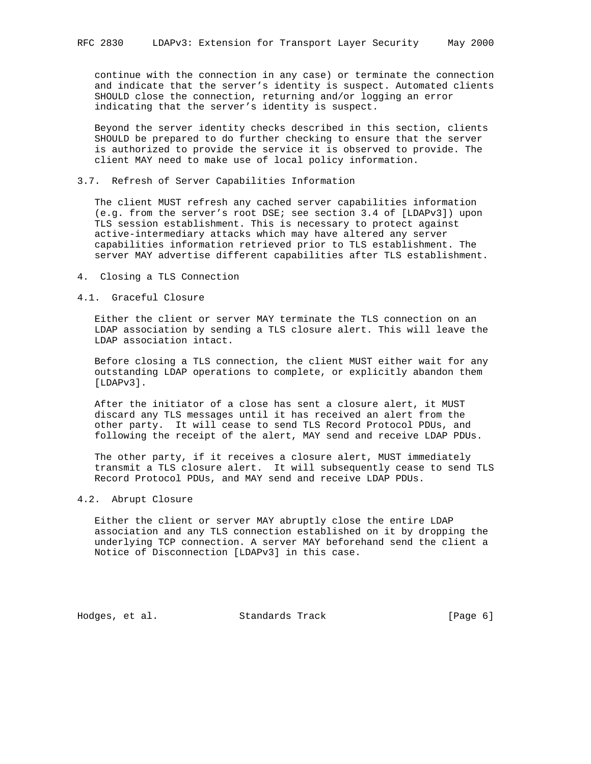continue with the connection in any case) or terminate the connection and indicate that the server's identity is suspect. Automated clients SHOULD close the connection, returning and/or logging an error indicating that the server's identity is suspect.

 Beyond the server identity checks described in this section, clients SHOULD be prepared to do further checking to ensure that the server is authorized to provide the service it is observed to provide. The client MAY need to make use of local policy information.

#### 3.7. Refresh of Server Capabilities Information

 The client MUST refresh any cached server capabilities information (e.g. from the server's root DSE; see section 3.4 of [LDAPv3]) upon TLS session establishment. This is necessary to protect against active-intermediary attacks which may have altered any server capabilities information retrieved prior to TLS establishment. The server MAY advertise different capabilities after TLS establishment.

4. Closing a TLS Connection

### 4.1. Graceful Closure

 Either the client or server MAY terminate the TLS connection on an LDAP association by sending a TLS closure alert. This will leave the LDAP association intact.

 Before closing a TLS connection, the client MUST either wait for any outstanding LDAP operations to complete, or explicitly abandon them [LDAPv3].

 After the initiator of a close has sent a closure alert, it MUST discard any TLS messages until it has received an alert from the other party. It will cease to send TLS Record Protocol PDUs, and following the receipt of the alert, MAY send and receive LDAP PDUs.

 The other party, if it receives a closure alert, MUST immediately transmit a TLS closure alert. It will subsequently cease to send TLS Record Protocol PDUs, and MAY send and receive LDAP PDUs.

### 4.2. Abrupt Closure

 Either the client or server MAY abruptly close the entire LDAP association and any TLS connection established on it by dropping the underlying TCP connection. A server MAY beforehand send the client a Notice of Disconnection [LDAPv3] in this case.

Hodges, et al. Standards Track [Page 6]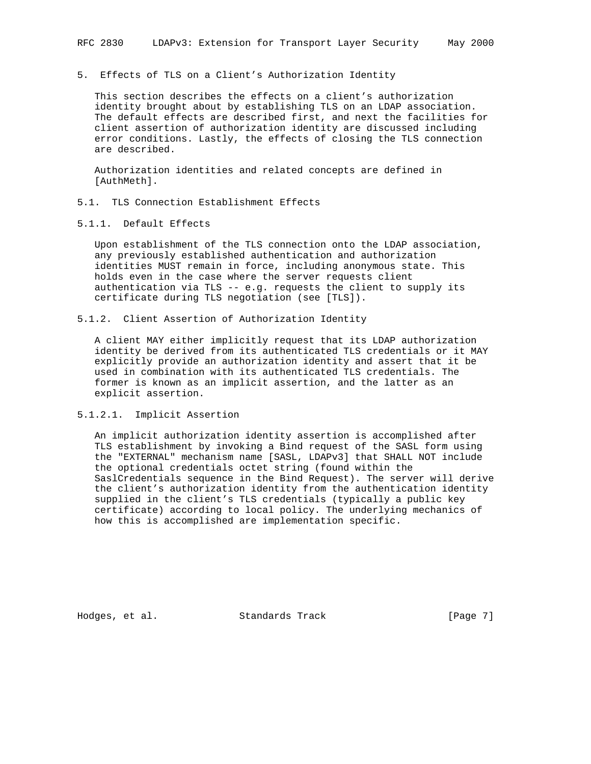5. Effects of TLS on a Client's Authorization Identity

 This section describes the effects on a client's authorization identity brought about by establishing TLS on an LDAP association. The default effects are described first, and next the facilities for client assertion of authorization identity are discussed including error conditions. Lastly, the effects of closing the TLS connection are described.

 Authorization identities and related concepts are defined in [AuthMeth].

- 5.1. TLS Connection Establishment Effects
- 5.1.1. Default Effects

 Upon establishment of the TLS connection onto the LDAP association, any previously established authentication and authorization identities MUST remain in force, including anonymous state. This holds even in the case where the server requests client authentication via TLS -- e.g. requests the client to supply its certificate during TLS negotiation (see [TLS]).

5.1.2. Client Assertion of Authorization Identity

 A client MAY either implicitly request that its LDAP authorization identity be derived from its authenticated TLS credentials or it MAY explicitly provide an authorization identity and assert that it be used in combination with its authenticated TLS credentials. The former is known as an implicit assertion, and the latter as an explicit assertion.

5.1.2.1. Implicit Assertion

 An implicit authorization identity assertion is accomplished after TLS establishment by invoking a Bind request of the SASL form using the "EXTERNAL" mechanism name [SASL, LDAPv3] that SHALL NOT include the optional credentials octet string (found within the SaslCredentials sequence in the Bind Request). The server will derive the client's authorization identity from the authentication identity supplied in the client's TLS credentials (typically a public key certificate) according to local policy. The underlying mechanics of how this is accomplished are implementation specific.

Hodges, et al. Standards Track [Page 7]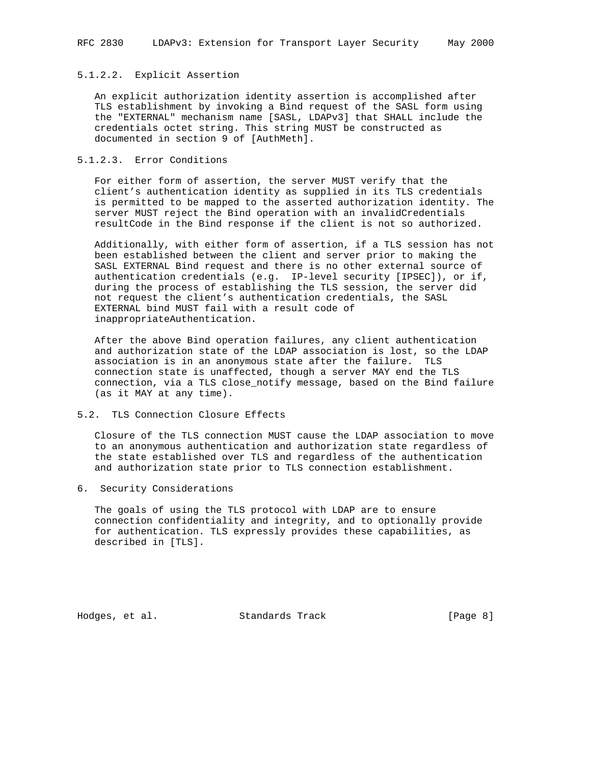# 5.1.2.2. Explicit Assertion

 An explicit authorization identity assertion is accomplished after TLS establishment by invoking a Bind request of the SASL form using the "EXTERNAL" mechanism name [SASL, LDAPv3] that SHALL include the credentials octet string. This string MUST be constructed as documented in section 9 of [AuthMeth].

## 5.1.2.3. Error Conditions

 For either form of assertion, the server MUST verify that the client's authentication identity as supplied in its TLS credentials is permitted to be mapped to the asserted authorization identity. The server MUST reject the Bind operation with an invalidCredentials resultCode in the Bind response if the client is not so authorized.

 Additionally, with either form of assertion, if a TLS session has not been established between the client and server prior to making the SASL EXTERNAL Bind request and there is no other external source of authentication credentials (e.g. IP-level security [IPSEC]), or if, during the process of establishing the TLS session, the server did not request the client's authentication credentials, the SASL EXTERNAL bind MUST fail with a result code of inappropriateAuthentication.

 After the above Bind operation failures, any client authentication and authorization state of the LDAP association is lost, so the LDAP association is in an anonymous state after the failure. TLS connection state is unaffected, though a server MAY end the TLS connection, via a TLS close\_notify message, based on the Bind failure (as it MAY at any time).

### 5.2. TLS Connection Closure Effects

 Closure of the TLS connection MUST cause the LDAP association to move to an anonymous authentication and authorization state regardless of the state established over TLS and regardless of the authentication and authorization state prior to TLS connection establishment.

6. Security Considerations

 The goals of using the TLS protocol with LDAP are to ensure connection confidentiality and integrity, and to optionally provide for authentication. TLS expressly provides these capabilities, as described in [TLS].

Hodges, et al. Standards Track [Page 8]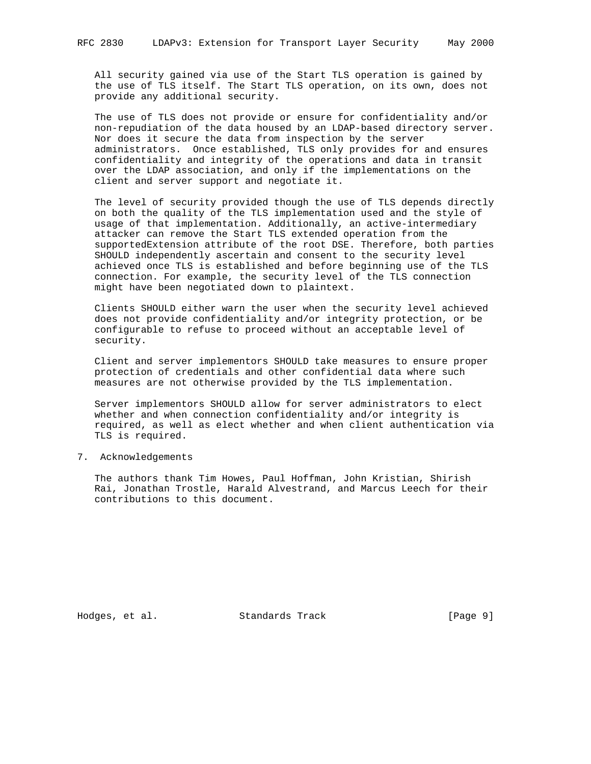All security gained via use of the Start TLS operation is gained by the use of TLS itself. The Start TLS operation, on its own, does not provide any additional security.

 The use of TLS does not provide or ensure for confidentiality and/or non-repudiation of the data housed by an LDAP-based directory server. Nor does it secure the data from inspection by the server administrators. Once established, TLS only provides for and ensures confidentiality and integrity of the operations and data in transit over the LDAP association, and only if the implementations on the client and server support and negotiate it.

 The level of security provided though the use of TLS depends directly on both the quality of the TLS implementation used and the style of usage of that implementation. Additionally, an active-intermediary attacker can remove the Start TLS extended operation from the supportedExtension attribute of the root DSE. Therefore, both parties SHOULD independently ascertain and consent to the security level achieved once TLS is established and before beginning use of the TLS connection. For example, the security level of the TLS connection might have been negotiated down to plaintext.

 Clients SHOULD either warn the user when the security level achieved does not provide confidentiality and/or integrity protection, or be configurable to refuse to proceed without an acceptable level of security.

 Client and server implementors SHOULD take measures to ensure proper protection of credentials and other confidential data where such measures are not otherwise provided by the TLS implementation.

 Server implementors SHOULD allow for server administrators to elect whether and when connection confidentiality and/or integrity is required, as well as elect whether and when client authentication via TLS is required.

7. Acknowledgements

 The authors thank Tim Howes, Paul Hoffman, John Kristian, Shirish Rai, Jonathan Trostle, Harald Alvestrand, and Marcus Leech for their contributions to this document.

Hodges, et al. Standards Track [Page 9]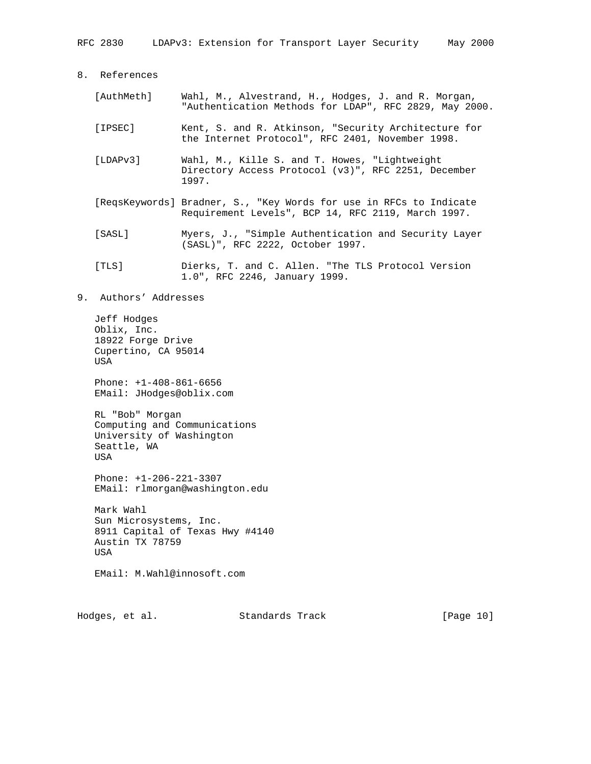- [AuthMeth] Wahl, M., Alvestrand, H., Hodges, J. and R. Morgan, "Authentication Methods for LDAP", RFC 2829, May 2000.
- [IPSEC] Kent, S. and R. Atkinson, "Security Architecture for the Internet Protocol", RFC 2401, November 1998.
- [LDAPv3] Wahl, M., Kille S. and T. Howes, "Lightweight Directory Access Protocol (v3)", RFC 2251, December 1997.
- [ReqsKeywords] Bradner, S., "Key Words for use in RFCs to Indicate Requirement Levels", BCP 14, RFC 2119, March 1997.
- [SASL] Myers, J., "Simple Authentication and Security Layer (SASL)", RFC 2222, October 1997.
- [TLS] Dierks, T. and C. Allen. "The TLS Protocol Version 1.0", RFC 2246, January 1999.
- 9. Authors' Addresses

 Jeff Hodges Oblix, Inc. 18922 Forge Drive Cupertino, CA 95014 USA

 Phone: +1-408-861-6656 EMail: JHodges@oblix.com

 RL "Bob" Morgan Computing and Communications University of Washington Seattle, WA USA

 Phone: +1-206-221-3307 EMail: rlmorgan@washington.edu

 Mark Wahl Sun Microsystems, Inc. 8911 Capital of Texas Hwy #4140 Austin TX 78759 USA

EMail: M.Wahl@innosoft.com

Hodges, et al. Standards Track [Page 10]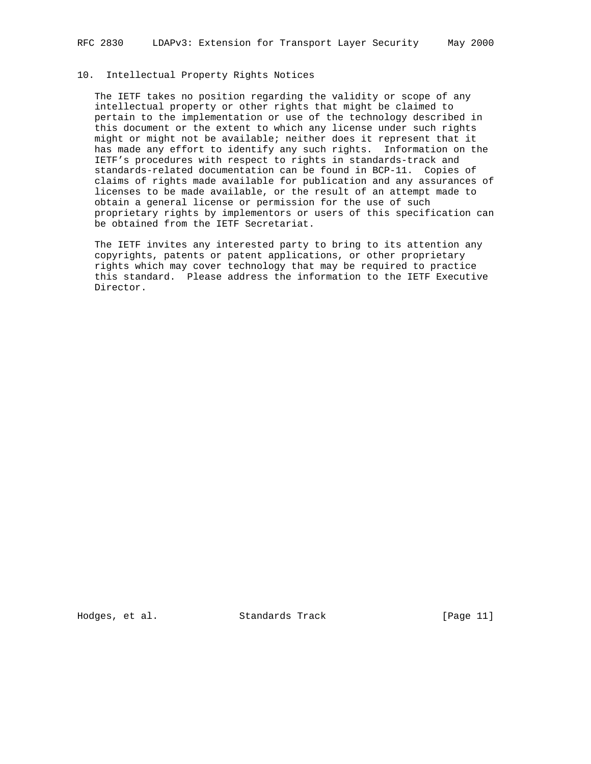# 10. Intellectual Property Rights Notices

 The IETF takes no position regarding the validity or scope of any intellectual property or other rights that might be claimed to pertain to the implementation or use of the technology described in this document or the extent to which any license under such rights might or might not be available; neither does it represent that it has made any effort to identify any such rights. Information on the IETF's procedures with respect to rights in standards-track and standards-related documentation can be found in BCP-11. Copies of claims of rights made available for publication and any assurances of licenses to be made available, or the result of an attempt made to obtain a general license or permission for the use of such proprietary rights by implementors or users of this specification can be obtained from the IETF Secretariat.

 The IETF invites any interested party to bring to its attention any copyrights, patents or patent applications, or other proprietary rights which may cover technology that may be required to practice this standard. Please address the information to the IETF Executive Director.